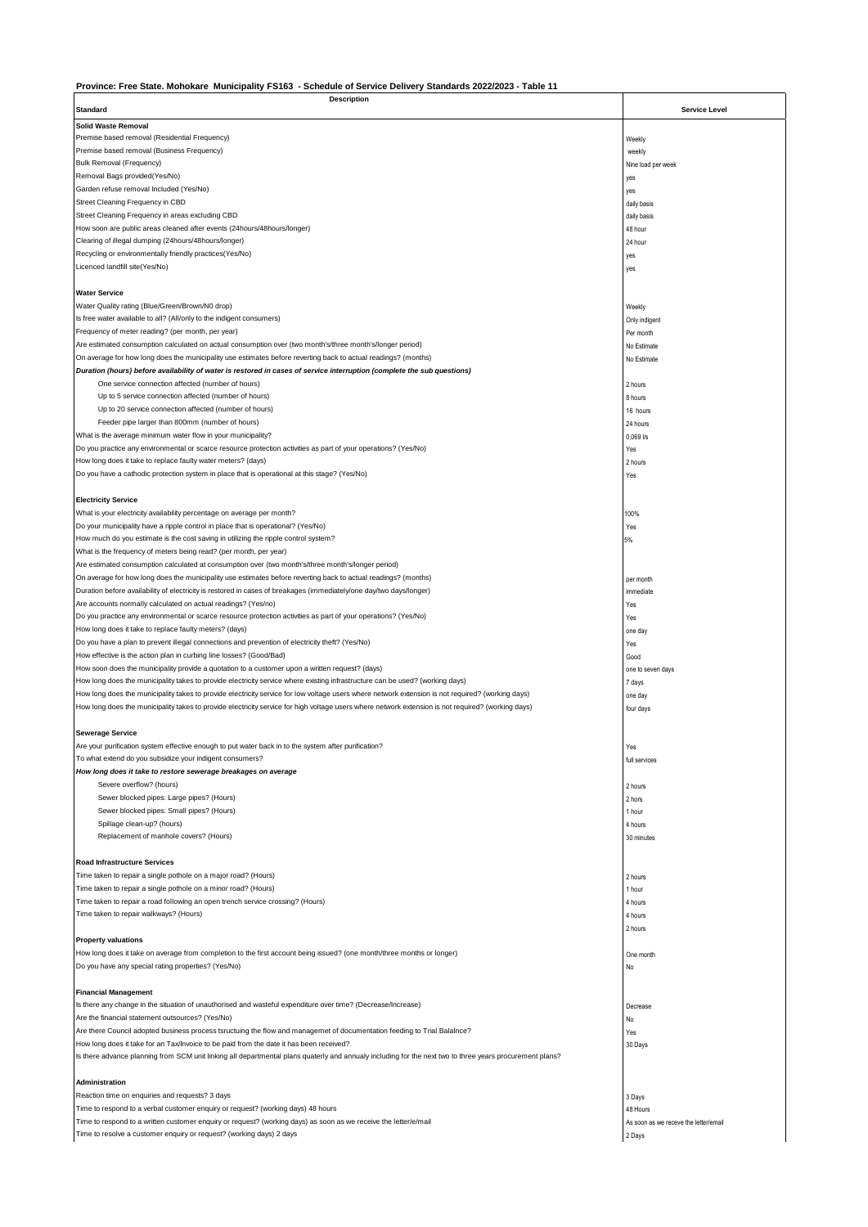## **Province: Free State. Mohokare Municipality FS163 - Schedule of Service Delivery Standards 2022/2023 - Table 11**

| <b>Description</b>                                                                                                                                       |                                       |
|----------------------------------------------------------------------------------------------------------------------------------------------------------|---------------------------------------|
| <b>Standard</b>                                                                                                                                          | <b>Service Level</b>                  |
| <b>Solid Waste Removal</b>                                                                                                                               |                                       |
|                                                                                                                                                          |                                       |
| Premise based removal (Residential Frequency)                                                                                                            | Weekly                                |
| Premise based removal (Business Frequency)                                                                                                               | weekly                                |
| Bulk Removal (Frequency)                                                                                                                                 | Nine load per week                    |
| Removal Bags provided(Yes/No)                                                                                                                            | yes                                   |
| Garden refuse removal Included (Yes/No)                                                                                                                  |                                       |
|                                                                                                                                                          | yes                                   |
| Street Cleaning Frequency in CBD                                                                                                                         | daily basis                           |
| Street Cleaning Frequency in areas excluding CBD                                                                                                         | daily basis                           |
| How soon are public areas cleaned after events (24hours/48hours/longer)                                                                                  | 48 hour                               |
| Clearing of illegal dumping (24hours/48hours/longer)                                                                                                     | 24 hour                               |
|                                                                                                                                                          |                                       |
| Recycling or environmentally friendly practices(Yes/No)                                                                                                  | yes                                   |
| Licenced landfill site(Yes/No)                                                                                                                           | yes                                   |
|                                                                                                                                                          |                                       |
| <b>Water Service</b>                                                                                                                                     |                                       |
|                                                                                                                                                          |                                       |
| Water Quality rating (Blue/Green/Brown/N0 drop)                                                                                                          | Weekly                                |
| Is free water available to all? (All/only to the indigent consumers)                                                                                     | Only indigent                         |
| Frequency of meter reading? (per month, per year)                                                                                                        | Per month                             |
| Are estimated consumption calculated on actual consumption over (two month's/three month's/longer period)                                                | No Estimate                           |
| On average for how long does the municipality use estimates before reverting back to actual readings? (months)                                           |                                       |
|                                                                                                                                                          | No Estimate                           |
| Duration (hours) before availability of water is restored in cases of service interruption (complete the sub questions)                                  |                                       |
| One service connection affected (number of hours)                                                                                                        | 2 hours                               |
| Up to 5 service connection affected (number of hours)                                                                                                    | 8 hours                               |
| Up to 20 service connection affected (number of hours)                                                                                                   | 16 hours                              |
|                                                                                                                                                          |                                       |
| Feeder pipe larger than 800mm (number of hours)                                                                                                          | 24 hours                              |
| What is the average minimum water flow in your municipality?                                                                                             | $0,069$ $1/s$                         |
| Do you practice any environmental or scarce resource protection activities as part of your operations? (Yes/No)                                          | Yes                                   |
| How long does it take to replace faulty water meters? (days)                                                                                             | 2 hours                               |
|                                                                                                                                                          |                                       |
| Do you have a cathodic protection system in place that is operational at this stage? (Yes/No)                                                            | Yes                                   |
|                                                                                                                                                          |                                       |
| <b>Electricity Service</b>                                                                                                                               |                                       |
| What is your electricity availability percentage on average per month?                                                                                   |                                       |
|                                                                                                                                                          | 100%                                  |
| Do your municipality have a ripple control in place that is operational? (Yes/No)                                                                        | Yes                                   |
| How much do you estimate is the cost saving in utilizing the ripple control system?                                                                      | 5%                                    |
| What is the frequency of meters being read? (per month, per year)                                                                                        |                                       |
| Are estimated consumption calculated at consumption over (two month's/three month's/longer period)                                                       |                                       |
|                                                                                                                                                          |                                       |
| On average for how long does the municipality use estimates before reverting back to actual readings? (months)                                           | per month                             |
| Duration before availability of electricity is restored in cases of breakages (immediately/one day/two days/longer)                                      | immediate                             |
| Are accounts normally calculated on actual readings? (Yes/no)                                                                                            | Yes                                   |
| Do you practice any environmental or scarce resource protection activities as part of your operations? (Yes/No)                                          |                                       |
|                                                                                                                                                          | Yes                                   |
| How long does it take to replace faulty meters? (days)                                                                                                   | one day                               |
| Do you have a plan to prevent illegal connections and prevention of electricity theft? (Yes/No)                                                          | Yes                                   |
| How effective is the action plan in curbing line losses? (Good/Bad)                                                                                      | Good                                  |
| How soon does the municipality provide a quotation to a customer upon a written request? (days)                                                          |                                       |
|                                                                                                                                                          | one to seven days                     |
| How long does the municipality takes to provide electricity service where existing infrastructure can be used? (working days)                            | 7 days                                |
| How long does the municipality takes to provide electricity service for low voltage users where network extension is not required? (working days)        | one day                               |
| How long does the municipality takes to provide electricity service for high voltage users where network extension is not required? (working days)       | four days                             |
|                                                                                                                                                          |                                       |
|                                                                                                                                                          |                                       |
| <b>Sewerage Service</b>                                                                                                                                  |                                       |
| Are your purification system effective enough to put water back in to the system after purification?                                                     | Yes                                   |
| To what extend do you subsidize your indigent consumers?                                                                                                 | full services                         |
| How long does it take to restore sewerage breakages on average                                                                                           |                                       |
|                                                                                                                                                          |                                       |
| Severe overflow? (hours)                                                                                                                                 | 2 hours                               |
| Sewer blocked pipes: Large pipes? (Hours)                                                                                                                | 2 hors                                |
| Sewer blocked pipes: Small pipes? (Hours)                                                                                                                | 1 hour                                |
| Spillage clean-up? (hours)                                                                                                                               | 4 hours                               |
|                                                                                                                                                          |                                       |
| Replacement of manhole covers? (Hours)                                                                                                                   | 30 minutes                            |
|                                                                                                                                                          |                                       |
| <b>Road Infrastructure Services</b>                                                                                                                      |                                       |
| Time taken to repair a single pothole on a major road? (Hours)                                                                                           | 2 hours                               |
| Time taken to repair a single pothole on a minor road? (Hours)                                                                                           |                                       |
|                                                                                                                                                          | 1 hour                                |
| Time taken to repair a road following an open trench service crossing? (Hours)                                                                           | 4 hours                               |
| Time taken to repair walkways? (Hours)                                                                                                                   | 4 hours                               |
|                                                                                                                                                          | 2 hours                               |
| <b>Property valuations</b>                                                                                                                               |                                       |
|                                                                                                                                                          |                                       |
| How long does it take on average from completion to the first account being issued? (one month/three months or longer)                                   | One month                             |
| Do you have any special rating properties? (Yes/No)                                                                                                      | No                                    |
|                                                                                                                                                          |                                       |
| <b>Financial Management</b>                                                                                                                              |                                       |
|                                                                                                                                                          |                                       |
| Is there any change in the situation of unauthorised and wasteful expenditure over time? (Decrease/Increase)                                             | Decrease                              |
| Are the financial statement outsources? (Yes/No)                                                                                                         | No                                    |
| Are there Council adopted business process tsructuing the flow and managemet of documentation feeding to Trial Balalnce?                                 | Yes                                   |
| How long does it take for an Tax/Invoice to be paid from the date it has been received?                                                                  |                                       |
|                                                                                                                                                          | 30 Days                               |
| Is there advance planning from SCM unit linking all departmental plans quaterly and annualy including for the next two to three years procurement plans? |                                       |
|                                                                                                                                                          |                                       |
| Administration                                                                                                                                           |                                       |
| Reaction time on enquiries and requests? 3 days                                                                                                          |                                       |
|                                                                                                                                                          | 3 Days                                |
| Time to respond to a verbal customer enquiry or request? (working days) 48 hours                                                                         | 48 Hours                              |
| Time to respond to a written customer enquiry or request? (working days) as soon as we receive the letter/e/mail                                         | As soon as we receve the letter/email |
| Time to resolve a customer enquiry or request? (working days) 2 days                                                                                     | 2 Days                                |
|                                                                                                                                                          |                                       |